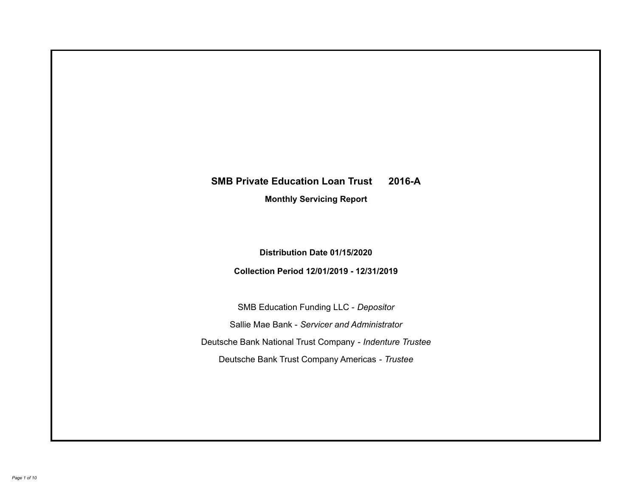# **SMB Private Education Loan Trust 2016-A Monthly Servicing Report**

## **Distribution Date 01/15/2020**

## **Collection Period 12/01/2019 - 12/31/2019**

SMB Education Funding LLC - *Depositor* Sallie Mae Bank - *Servicer and Administrator* Deutsche Bank National Trust Company - *Indenture Trustee* Deutsche Bank Trust Company Americas - *Trustee*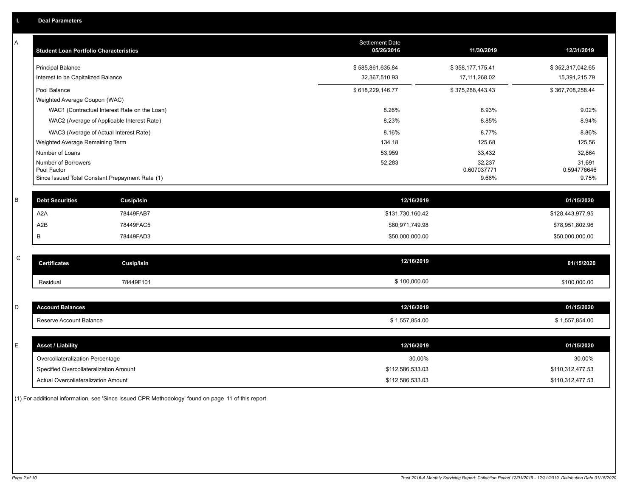| A           | <b>Student Loan Portfolio Characteristics</b>                  | <b>Settlement Date</b><br>05/26/2016 | 11/30/2019           | 12/31/2019           |
|-------------|----------------------------------------------------------------|--------------------------------------|----------------------|----------------------|
|             | <b>Principal Balance</b>                                       | \$585,861,635.84                     | \$358,177,175.41     | \$352,317,042.65     |
|             | Interest to be Capitalized Balance                             | 32,367,510.93                        | 17, 111, 268.02      | 15,391,215.79        |
|             | Pool Balance                                                   | \$618,229,146.77                     | \$375,288,443.43     | \$367,708,258.44     |
|             | Weighted Average Coupon (WAC)                                  |                                      |                      |                      |
|             | WAC1 (Contractual Interest Rate on the Loan)                   | 8.26%                                | 8.93%                | 9.02%                |
|             | WAC2 (Average of Applicable Interest Rate)                     | 8.23%                                | 8.85%                | 8.94%                |
|             | WAC3 (Average of Actual Interest Rate)                         | 8.16%                                | 8.77%                | 8.86%                |
|             | Weighted Average Remaining Term                                | 134.18                               | 125.68               | 125.56               |
|             | Number of Loans                                                | 53,959                               | 33,432               | 32,864               |
|             | Number of Borrowers                                            | 52,283                               | 32,237               | 31,691               |
|             | Pool Factor<br>Since Issued Total Constant Prepayment Rate (1) |                                      | 0.607037771<br>9.66% | 0.594776646<br>9.75% |
|             |                                                                |                                      |                      |                      |
| $\sf B$     | <b>Debt Securities</b><br><b>Cusip/Isin</b>                    | 12/16/2019                           |                      | 01/15/2020           |
|             | A <sub>2</sub> A<br>78449FAB7                                  | \$131,730,160.42                     |                      | \$128,443,977.95     |
|             | A2B<br>78449FAC5                                               | \$80,971,749.98                      |                      | \$78,951,802.96      |
|             | 78449FAD3<br>В                                                 | \$50,000,000.00                      |                      | \$50,000,000.00      |
|             |                                                                |                                      |                      |                      |
| $\mathsf C$ | <b>Certificates</b><br><b>Cusip/Isin</b>                       | 12/16/2019                           |                      | 01/15/2020           |
|             | 78449F101<br>Residual                                          | \$100,000.00                         |                      | \$100,000.00         |
|             |                                                                |                                      |                      |                      |
| D           | <b>Account Balances</b>                                        | 12/16/2019                           |                      | 01/15/2020           |
|             | Reserve Account Balance                                        | \$1,557,854.00                       |                      | \$1,557,854.00       |
|             |                                                                |                                      |                      |                      |
| E           | <b>Asset / Liability</b>                                       | 12/16/2019                           |                      | 01/15/2020           |
|             | Overcollateralization Percentage                               | 30.00%                               |                      | 30.00%               |
|             | Specified Overcollateralization Amount                         | \$112,586,533.03                     |                      | \$110,312,477.53     |
|             | Actual Overcollateralization Amount                            | \$112,586,533.03                     |                      | \$110,312,477.53     |

(1) For additional information, see 'Since Issued CPR Methodology' found on page 11 of this report.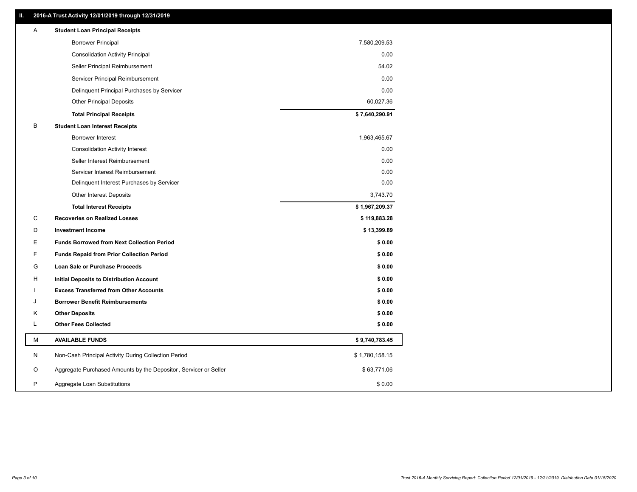## **II. 2016-A Trust Activity 12/01/2019 through 12/31/2019**

| <b>Borrower Principal</b><br>7,580,209.53<br>0.00<br><b>Consolidation Activity Principal</b><br>Seller Principal Reimbursement<br>54.02 |  |
|-----------------------------------------------------------------------------------------------------------------------------------------|--|
|                                                                                                                                         |  |
|                                                                                                                                         |  |
|                                                                                                                                         |  |
| Servicer Principal Reimbursement<br>0.00                                                                                                |  |
| 0.00<br>Delinquent Principal Purchases by Servicer                                                                                      |  |
| <b>Other Principal Deposits</b><br>60,027.36                                                                                            |  |
| \$7,640,290.91<br><b>Total Principal Receipts</b>                                                                                       |  |
| B<br><b>Student Loan Interest Receipts</b>                                                                                              |  |
| Borrower Interest<br>1,963,465.67                                                                                                       |  |
| <b>Consolidation Activity Interest</b><br>0.00                                                                                          |  |
| 0.00<br>Seller Interest Reimbursement                                                                                                   |  |
| 0.00<br>Servicer Interest Reimbursement                                                                                                 |  |
| 0.00<br>Delinquent Interest Purchases by Servicer                                                                                       |  |
| 3,743.70<br><b>Other Interest Deposits</b>                                                                                              |  |
| \$1,967,209.37<br><b>Total Interest Receipts</b>                                                                                        |  |
| C<br><b>Recoveries on Realized Losses</b><br>\$119,883.28                                                                               |  |
| D<br><b>Investment Income</b><br>\$13,399.89                                                                                            |  |
| Ε<br><b>Funds Borrowed from Next Collection Period</b><br>\$0.00                                                                        |  |
| F<br>\$0.00<br><b>Funds Repaid from Prior Collection Period</b>                                                                         |  |
| G<br>\$0.00<br>Loan Sale or Purchase Proceeds                                                                                           |  |
| \$0.00<br>н<br>Initial Deposits to Distribution Account                                                                                 |  |
| <b>Excess Transferred from Other Accounts</b><br>\$0.00                                                                                 |  |
| \$0.00<br>J<br><b>Borrower Benefit Reimbursements</b>                                                                                   |  |
| Κ<br><b>Other Deposits</b><br>\$0.00                                                                                                    |  |
| L<br><b>Other Fees Collected</b><br>\$0.00                                                                                              |  |
| М<br><b>AVAILABLE FUNDS</b><br>\$9,740,783.45                                                                                           |  |
| N<br>Non-Cash Principal Activity During Collection Period<br>\$1,780,158.15                                                             |  |
| Aggregate Purchased Amounts by the Depositor, Servicer or Seller<br>O<br>\$63,771.06                                                    |  |
| P<br>\$0.00<br>Aggregate Loan Substitutions                                                                                             |  |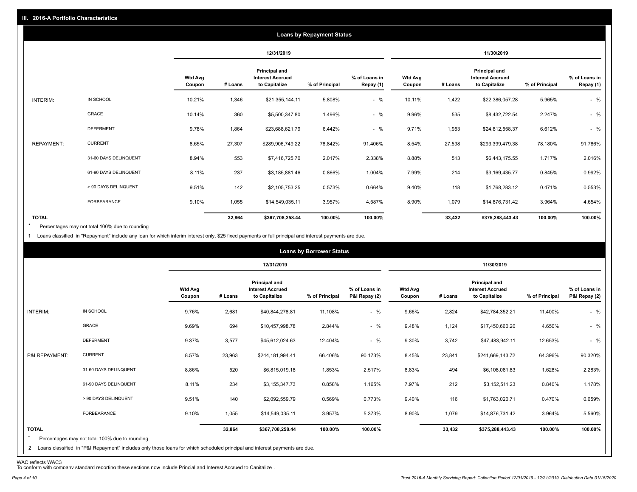|                   |                       |                          |            |                                                           | <b>Loans by Repayment Status</b> |                            |                          |         |                                                           |                |                            |
|-------------------|-----------------------|--------------------------|------------|-----------------------------------------------------------|----------------------------------|----------------------------|--------------------------|---------|-----------------------------------------------------------|----------------|----------------------------|
|                   |                       |                          | 12/31/2019 |                                                           |                                  |                            | 11/30/2019               |         |                                                           |                |                            |
|                   |                       | <b>Wtd Avg</b><br>Coupon | # Loans    | Principal and<br><b>Interest Accrued</b><br>to Capitalize | % of Principal                   | % of Loans in<br>Repay (1) | <b>Wtd Avg</b><br>Coupon | # Loans | Principal and<br><b>Interest Accrued</b><br>to Capitalize | % of Principal | % of Loans in<br>Repay (1) |
| INTERIM:          | IN SCHOOL             | 10.21%                   | 1,346      | \$21,355,144.11                                           | 5.808%                           | $-$ %                      | 10.11%                   | 1,422   | \$22,386,057.28                                           | 5.965%         | $-$ %                      |
|                   | GRACE                 | 10.14%                   | 360        | \$5,500,347.80                                            | 1.496%                           | $-$ %                      | 9.96%                    | 535     | \$8,432,722.54                                            | 2.247%         | $-$ %                      |
|                   | <b>DEFERMENT</b>      | 9.78%                    | 1,864      | \$23,688,621.79                                           | 6.442%                           | $-$ %                      | 9.71%                    | 1,953   | \$24,812,558.37                                           | 6.612%         | $-$ %                      |
| <b>REPAYMENT:</b> | <b>CURRENT</b>        | 8.65%                    | 27,307     | \$289,906,749.22                                          | 78.842%                          | 91.406%                    | 8.54%                    | 27,598  | \$293,399,479.38                                          | 78.180%        | 91.786%                    |
|                   | 31-60 DAYS DELINQUENT | 8.94%                    | 553        | \$7,416,725.70                                            | 2.017%                           | 2.338%                     | 8.88%                    | 513     | \$6,443,175.55                                            | 1.717%         | 2.016%                     |
|                   | 61-90 DAYS DELINQUENT | 8.11%                    | 237        | \$3,185,881.46                                            | 0.866%                           | 1.004%                     | 7.99%                    | 214     | \$3,169,435.77                                            | 0.845%         | 0.992%                     |
|                   | > 90 DAYS DELINQUENT  | 9.51%                    | 142        | \$2,105,753.25                                            | 0.573%                           | 0.664%                     | 9.40%                    | 118     | \$1,768,283.12                                            | 0.471%         | 0.553%                     |
|                   | FORBEARANCE           | 9.10%                    | 1,055      | \$14,549,035.11                                           | 3.957%                           | 4.587%                     | 8.90%                    | 1,079   | \$14,876,731.42                                           | 3.964%         | 4.654%                     |
| <b>TOTAL</b>      |                       |                          | 32,864     | \$367,708,258.44                                          | 100.00%                          | 100.00%                    |                          | 33,432  | \$375,288,443.43                                          | 100.00%        | 100.00%                    |

Percentages may not total 100% due to rounding \*

1 Loans classified in "Repayment" include any loan for which interim interest only, \$25 fixed payments or full principal and interest payments are due.

|                         | <b>Loans by Borrower Status</b>                                                                                              |                          |         |                                                           |                |                                |                          |         |                                                           |                |                                |
|-------------------------|------------------------------------------------------------------------------------------------------------------------------|--------------------------|---------|-----------------------------------------------------------|----------------|--------------------------------|--------------------------|---------|-----------------------------------------------------------|----------------|--------------------------------|
|                         |                                                                                                                              |                          |         | 12/31/2019                                                |                |                                | 11/30/2019               |         |                                                           |                |                                |
|                         |                                                                                                                              | <b>Wtd Avg</b><br>Coupon | # Loans | Principal and<br><b>Interest Accrued</b><br>to Capitalize | % of Principal | % of Loans in<br>P&I Repay (2) | <b>Wtd Avg</b><br>Coupon | # Loans | Principal and<br><b>Interest Accrued</b><br>to Capitalize | % of Principal | % of Loans in<br>P&I Repay (2) |
| INTERIM:                | IN SCHOOL                                                                                                                    | 9.76%                    | 2,681   | \$40,844,278.81                                           | 11.108%        | $-$ %                          | 9.66%                    | 2,824   | \$42,784,352.21                                           | 11.400%        | $-$ %                          |
|                         | GRACE                                                                                                                        | 9.69%                    | 694     | \$10,457,998.78                                           | 2.844%         | $-$ %                          | 9.48%                    | 1,124   | \$17,450,660.20                                           | 4.650%         | $-$ %                          |
|                         | <b>DEFERMENT</b>                                                                                                             | 9.37%                    | 3,577   | \$45,612,024.63                                           | 12.404%        | $-$ %                          | 9.30%                    | 3,742   | \$47,483,942.11                                           | 12.653%        | $-$ %                          |
| P&I REPAYMENT:          | <b>CURRENT</b>                                                                                                               | 8.57%                    | 23,963  | \$244,181,994.41                                          | 66.406%        | 90.173%                        | 8.45%                    | 23,841  | \$241,669,143.72                                          | 64.396%        | 90.320%                        |
|                         | 31-60 DAYS DELINQUENT                                                                                                        | 8.86%                    | 520     | \$6,815,019.18                                            | 1.853%         | 2.517%                         | 8.83%                    | 494     | \$6,108,081.83                                            | 1.628%         | 2.283%                         |
|                         | 61-90 DAYS DELINQUENT                                                                                                        | 8.11%                    | 234     | \$3,155,347.73                                            | 0.858%         | 1.165%                         | 7.97%                    | 212     | \$3,152,511.23                                            | 0.840%         | 1.178%                         |
|                         | > 90 DAYS DELINQUENT                                                                                                         | 9.51%                    | 140     | \$2,092,559.79                                            | 0.569%         | 0.773%                         | 9.40%                    | 116     | \$1,763,020.71                                            | 0.470%         | 0.659%                         |
|                         | FORBEARANCE                                                                                                                  | 9.10%                    | 1,055   | \$14,549,035.11                                           | 3.957%         | 5.373%                         | 8.90%                    | 1,079   | \$14,876,731.42                                           | 3.964%         | 5.560%                         |
| <b>TOTAL</b><br>$\star$ | Percentages may not total 100% due to rounding                                                                               |                          | 32,864  | \$367,708,258.44                                          | 100.00%        | 100.00%                        |                          | 33,432  | \$375,288,443.43                                          | 100.00%        | 100.00%                        |
|                         | 2 Loans classified in "P&I Repayment" includes only those loans for which scheduled principal and interest payments are due. |                          |         |                                                           |                |                                |                          |         |                                                           |                |                                |

WAC reflects WAC3 To conform with company standard reporting these sections now include Princial and Interest Accrued to Capitalize .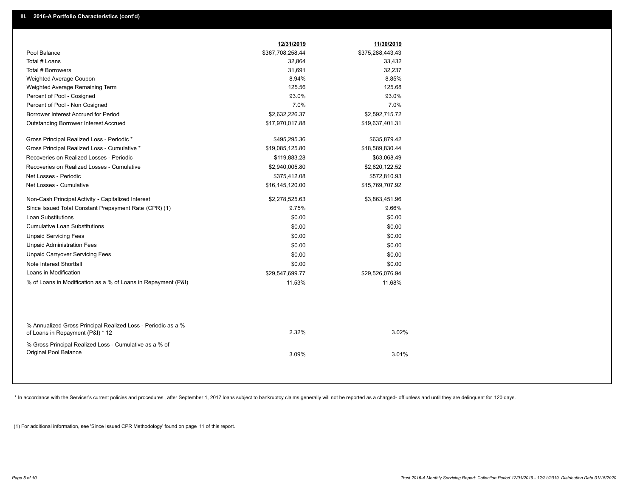|                                                                                                  | 12/31/2019       | 11/30/2019       |  |
|--------------------------------------------------------------------------------------------------|------------------|------------------|--|
| Pool Balance                                                                                     | \$367,708,258.44 | \$375,288,443.43 |  |
| Total # Loans                                                                                    | 32,864           | 33,432           |  |
| Total # Borrowers                                                                                | 31,691           | 32,237           |  |
| Weighted Average Coupon                                                                          | 8.94%            | 8.85%            |  |
| Weighted Average Remaining Term                                                                  | 125.56           | 125.68           |  |
| Percent of Pool - Cosigned                                                                       | 93.0%            | 93.0%            |  |
| Percent of Pool - Non Cosigned                                                                   | 7.0%             | 7.0%             |  |
| Borrower Interest Accrued for Period                                                             | \$2,632,226.37   | \$2,592,715.72   |  |
| <b>Outstanding Borrower Interest Accrued</b>                                                     | \$17,970,017.88  | \$19,637,401.31  |  |
| Gross Principal Realized Loss - Periodic *                                                       | \$495,295.36     | \$635,879.42     |  |
| Gross Principal Realized Loss - Cumulative *                                                     | \$19,085,125.80  | \$18,589,830.44  |  |
| Recoveries on Realized Losses - Periodic                                                         | \$119,883.28     | \$63,068.49      |  |
| Recoveries on Realized Losses - Cumulative                                                       | \$2,940,005.80   | \$2,820,122.52   |  |
| Net Losses - Periodic                                                                            | \$375,412.08     | \$572,810.93     |  |
| Net Losses - Cumulative                                                                          | \$16,145,120.00  | \$15,769,707.92  |  |
| Non-Cash Principal Activity - Capitalized Interest                                               | \$2,278,525.63   | \$3,863,451.96   |  |
| Since Issued Total Constant Prepayment Rate (CPR) (1)                                            | 9.75%            | 9.66%            |  |
| <b>Loan Substitutions</b>                                                                        | \$0.00           | \$0.00           |  |
| <b>Cumulative Loan Substitutions</b>                                                             | \$0.00           | \$0.00           |  |
| <b>Unpaid Servicing Fees</b>                                                                     | \$0.00           | \$0.00           |  |
| <b>Unpaid Administration Fees</b>                                                                | \$0.00           | \$0.00           |  |
| <b>Unpaid Carryover Servicing Fees</b>                                                           | \$0.00           | \$0.00           |  |
| Note Interest Shortfall                                                                          | \$0.00           | \$0.00           |  |
| Loans in Modification                                                                            | \$29,547,699.77  | \$29,526,076.94  |  |
| % of Loans in Modification as a % of Loans in Repayment (P&I)                                    | 11.53%           | 11.68%           |  |
|                                                                                                  |                  |                  |  |
| % Annualized Gross Principal Realized Loss - Periodic as a %<br>of Loans in Repayment (P&I) * 12 | 2.32%            | 3.02%            |  |
| % Gross Principal Realized Loss - Cumulative as a % of<br>Original Pool Balance                  | 3.09%            | 3.01%            |  |

\* In accordance with the Servicer's current policies and procedures, after September 1, 2017 loans subject to bankruptcy claims generally will not be reported as a charged- off unless and until they are delinquent for 120

(1) For additional information, see 'Since Issued CPR Methodology' found on page 11 of this report.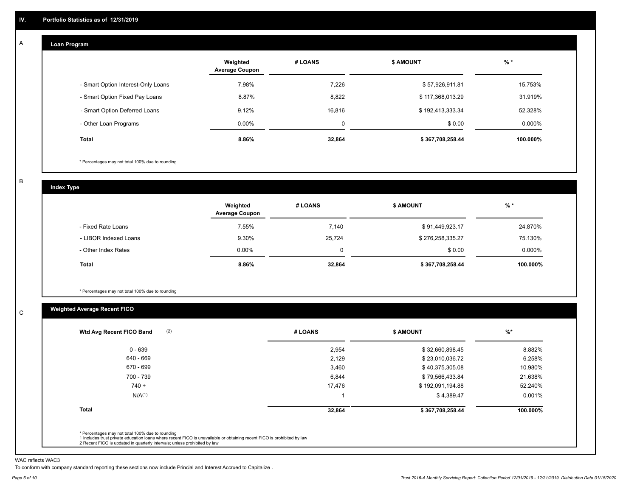#### **Loan Program**  A

|                                    | Weighted<br><b>Average Coupon</b> | # LOANS | <b>\$ AMOUNT</b> | $%$ *     |
|------------------------------------|-----------------------------------|---------|------------------|-----------|
| - Smart Option Interest-Only Loans | 7.98%                             | 7.226   | \$57,926,911.81  | 15.753%   |
| - Smart Option Fixed Pay Loans     | 8.87%                             | 8,822   | \$117,368,013.29 | 31.919%   |
| - Smart Option Deferred Loans      | 9.12%                             | 16.816  | \$192,413,333.34 | 52.328%   |
| - Other Loan Programs              | $0.00\%$                          | 0       | \$0.00           | $0.000\%$ |
| <b>Total</b>                       | 8.86%                             | 32,864  | \$367,708,258.44 | 100.000%  |

\* Percentages may not total 100% due to rounding

B

C

**Index Type**

|                       | Weighted<br><b>Average Coupon</b> | # LOANS | <b>\$ AMOUNT</b> | $%$ *     |
|-----------------------|-----------------------------------|---------|------------------|-----------|
| - Fixed Rate Loans    | 7.55%                             | 7.140   | \$91,449,923.17  | 24.870%   |
| - LIBOR Indexed Loans | 9.30%                             | 25,724  | \$276,258,335.27 | 75.130%   |
| - Other Index Rates   | $0.00\%$                          | O       | \$0.00           | $0.000\%$ |
| Total                 | 8.86%                             | 32,864  | \$367,708,258.44 | 100.000%  |

\* Percentages may not total 100% due to rounding

## **Weighted Average Recent FICO**

| (2)<br>Wtd Avg Recent FICO Band | # LOANS | <b>\$ AMOUNT</b> | $%$ *    |
|---------------------------------|---------|------------------|----------|
| 0 - 639                         | 2,954   | \$32,660,898.45  | 8.882%   |
| 640 - 669                       | 2.129   | \$23,010,036.72  | 6.258%   |
| 670 - 699                       | 3,460   | \$40,375,305.08  | 10.980%  |
| 700 - 739                       | 6,844   | \$79,566,433.84  | 21.638%  |
| $740 +$                         | 17,476  | \$192,091,194.88 | 52.240%  |
| N/A <sup>(1)</sup>              |         | \$4,389.47       | 0.001%   |
| <b>Total</b>                    | 32,864  | \$367,708,258.44 | 100.000% |
|                                 |         |                  |          |

WAC reflects WAC3

To conform with company standard reporting these sections now include Princial and Interest Accrued to Capitalize .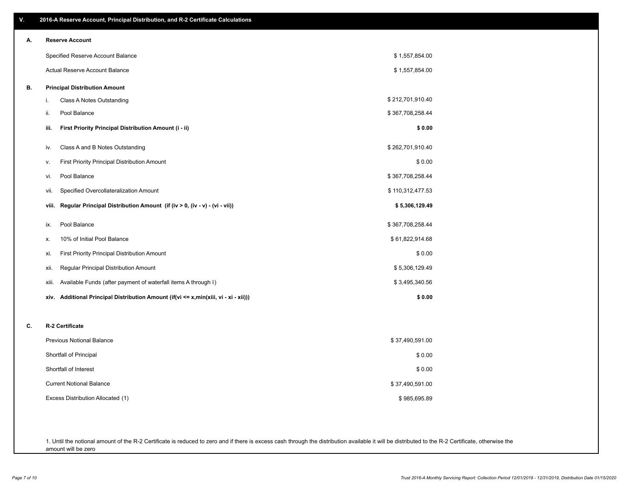| V. | 2016-A Reserve Account, Principal Distribution, and R-2 Certificate Calculations        |                  |  |
|----|-----------------------------------------------------------------------------------------|------------------|--|
| А. | <b>Reserve Account</b>                                                                  |                  |  |
|    | Specified Reserve Account Balance                                                       | \$1,557,854.00   |  |
|    | Actual Reserve Account Balance                                                          | \$1,557,854.00   |  |
| В. | <b>Principal Distribution Amount</b>                                                    |                  |  |
|    | i.<br>Class A Notes Outstanding                                                         | \$212,701,910.40 |  |
|    | Pool Balance<br>ii.                                                                     | \$367,708,258.44 |  |
|    | First Priority Principal Distribution Amount (i - ii)<br>iii.                           | \$0.00           |  |
|    | Class A and B Notes Outstanding<br>iv.                                                  | \$262,701,910.40 |  |
|    | First Priority Principal Distribution Amount<br>ν.                                      | \$0.00           |  |
|    | Pool Balance<br>vi.                                                                     | \$367,708,258.44 |  |
|    | Specified Overcollateralization Amount<br>vii.                                          | \$110,312,477.53 |  |
|    | Regular Principal Distribution Amount (if (iv > 0, (iv - v) - (vi - vii))<br>viii.      | \$5,306,129.49   |  |
|    | Pool Balance<br>ix.                                                                     | \$367,708,258.44 |  |
|    | 10% of Initial Pool Balance<br>Х.                                                       | \$61,822,914.68  |  |
|    | <b>First Priority Principal Distribution Amount</b><br>xi.                              | \$0.00           |  |
|    | Regular Principal Distribution Amount<br>xii.                                           | \$5,306,129.49   |  |
|    | Available Funds (after payment of waterfall items A through I)<br>xiii.                 | \$3,495,340.56   |  |
|    | Additional Principal Distribution Amount (if(vi <= x,min(xiii, vi - xi - xii)))<br>xiv. | \$0.00           |  |
| c. | R-2 Certificate                                                                         |                  |  |
|    | <b>Previous Notional Balance</b>                                                        | \$37,490,591.00  |  |
|    | Shortfall of Principal                                                                  | \$0.00           |  |
|    | Shortfall of Interest                                                                   | \$0.00           |  |
|    | <b>Current Notional Balance</b>                                                         | \$37,490,591.00  |  |
|    | Excess Distribution Allocated (1)                                                       | \$985,695.89     |  |
|    |                                                                                         |                  |  |
|    |                                                                                         |                  |  |

1. Until the notional amount of the R-2 Certificate is reduced to zero and if there is excess cash through the distribution available it will be distributed to the R-2 Certificate, otherwise the amount will be zero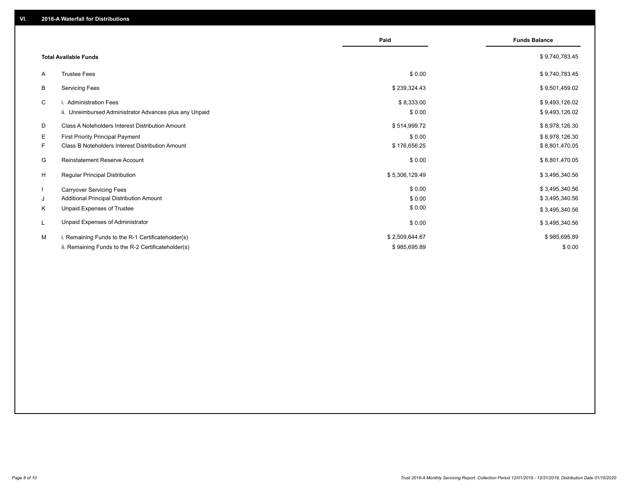|                                                               | Paid           | <b>Funds Balance</b> |
|---------------------------------------------------------------|----------------|----------------------|
| <b>Total Available Funds</b>                                  |                | \$9,740,783.45       |
| <b>Trustee Fees</b><br>A                                      | \$0.00         | \$9,740,783.45       |
| В<br><b>Servicing Fees</b>                                    | \$239,324.43   | \$9,501,459.02       |
| C<br>i. Administration Fees                                   | \$8,333.00     | \$9,493,126.02       |
| ii. Unreimbursed Administrator Advances plus any Unpaid       | \$0.00         | \$9,493,126.02       |
| <b>Class A Noteholders Interest Distribution Amount</b><br>D  | \$514,999.72   | \$8,978,126.30       |
| Е<br>First Priority Principal Payment                         | \$0.00         | \$8,978,126.30       |
| <b>Class B Noteholders Interest Distribution Amount</b><br>F. | \$176,656.25   | \$8,801,470.05       |
| <b>Reinstatement Reserve Account</b><br>G                     | \$0.00         | \$8,801,470.05       |
| H<br><b>Regular Principal Distribution</b>                    | \$5,306,129.49 | \$3,495,340.56       |
| <b>Carryover Servicing Fees</b>                               | \$0.00         | \$3,495,340.56       |
| Additional Principal Distribution Amount<br>J                 | \$0.00         | \$3,495,340.56       |
| Unpaid Expenses of Trustee<br>Κ                               | \$0.00         | \$3,495,340.56       |
| Unpaid Expenses of Administrator<br>L                         | \$0.00         | \$3,495,340.56       |
| M<br>i. Remaining Funds to the R-1 Certificateholder(s)       | \$2,509,644.67 | \$985,695.89         |
| ii. Remaining Funds to the R-2 Certificateholder(s)           | \$985.695.89   | \$0.00               |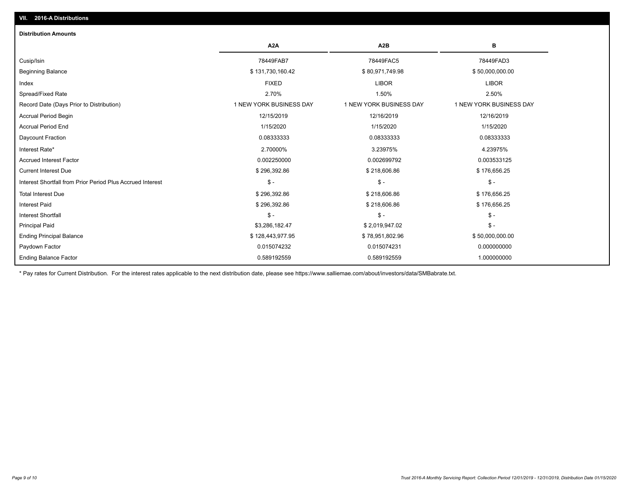| <b>Distribution Amounts</b>                                |                         |                         |                         |
|------------------------------------------------------------|-------------------------|-------------------------|-------------------------|
|                                                            | A <sub>2</sub> A        | A <sub>2</sub> B        | в                       |
| Cusip/Isin                                                 | 78449FAB7               | 78449FAC5               | 78449FAD3               |
| <b>Beginning Balance</b>                                   | \$131,730,160.42        | \$80,971,749.98         | \$50,000,000.00         |
| Index                                                      | <b>FIXED</b>            | <b>LIBOR</b>            | <b>LIBOR</b>            |
| Spread/Fixed Rate                                          | 2.70%                   | 1.50%                   | 2.50%                   |
| Record Date (Days Prior to Distribution)                   | 1 NEW YORK BUSINESS DAY | 1 NEW YORK BUSINESS DAY | 1 NEW YORK BUSINESS DAY |
| <b>Accrual Period Begin</b>                                | 12/15/2019              | 12/16/2019              | 12/16/2019              |
| <b>Accrual Period End</b>                                  | 1/15/2020               | 1/15/2020               | 1/15/2020               |
| Daycount Fraction                                          | 0.08333333              | 0.08333333              | 0.08333333              |
| Interest Rate*                                             | 2.70000%                | 3.23975%                | 4.23975%                |
| <b>Accrued Interest Factor</b>                             | 0.002250000             | 0.002699792             | 0.003533125             |
| <b>Current Interest Due</b>                                | \$296,392.86            | \$218,606.86            | \$176,656.25            |
| Interest Shortfall from Prior Period Plus Accrued Interest | $\mathsf{\$}$ -         | $\mathsf{\$}$ -         | $$ -$                   |
| <b>Total Interest Due</b>                                  | \$296,392.86            | \$218,606.86            | \$176,656.25            |
| <b>Interest Paid</b>                                       | \$296,392.86            | \$218,606.86            | \$176,656.25            |
| <b>Interest Shortfall</b>                                  | $\mathsf{\$}$ -         | $$ -$                   | $$ -$                   |
| <b>Principal Paid</b>                                      | \$3,286,182.47          | \$2,019,947.02          | $$ -$                   |
| <b>Ending Principal Balance</b>                            | \$128,443,977.95        | \$78,951,802.96         | \$50,000,000.00         |
| Paydown Factor                                             | 0.015074232             | 0.015074231             | 0.000000000             |
| <b>Ending Balance Factor</b>                               | 0.589192559             | 0.589192559             | 1.000000000             |

\* Pay rates for Current Distribution. For the interest rates applicable to the next distribution date, please see https://www.salliemae.com/about/investors/data/SMBabrate.txt.

**VII. 2016-A Distributions**